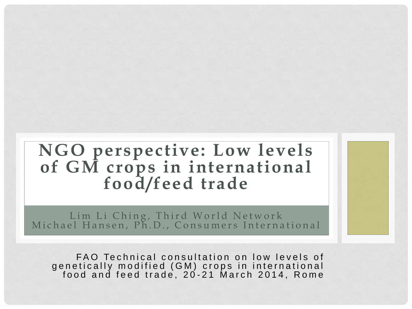### **NGO perspective: Low levels of GM crops in international food/feed trade**

Lim Li Ching, Third World Network Michael Hansen, Ph.D., Consumers International

FAO Technical consultation on low levels of genetically modified (GM) crops in international food and feed trade, 20-21 March 2014, Rome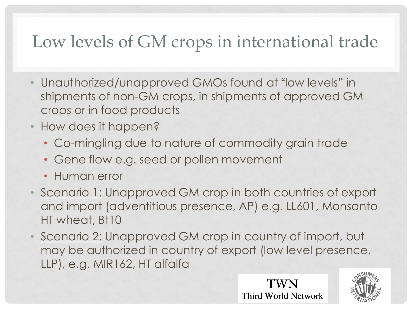### Low levels of GM crops in international trade

- Unauthorized/unapproved GMOs found at "low levels" in shipments of non-GM crops, in shipments of approved GM crops or in food products
- How does it happen?
	- Co-mingling due to nature of commodity grain trade
	- Gene flow e.g. seed or pollen movement
	- Human error
- Scenario 1: Unapproved GM crop in both countries of export and import (adventitious presence, AP) e.g. LL601, Monsanto HT wheat, Bt10
- Scenario 2: Unapproved GM crop in country of import, but may be authorized in country of export (low level presence, LLP), e.g. MIR162, HT alfalfa

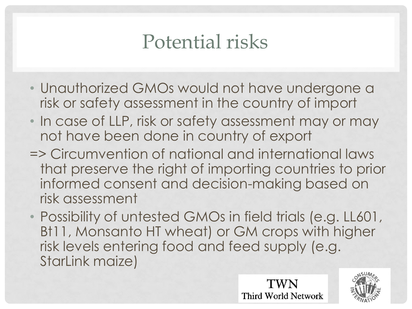### Potential risks

- Unauthorized GMOs would not have undergone a risk or safety assessment in the country of import
- In case of LLP, risk or safety assessment may or may not have been done in country of export
- => Circumvention of national and international laws that preserve the right of importing countries to prior informed consent and decision-making based on risk assessment
- Possibility of untested GMOs in field trials (e.g. LL601, Bt11, Monsanto HT wheat) or GM crops with higher risk levels entering food and feed supply (e.g. StarLink maize)

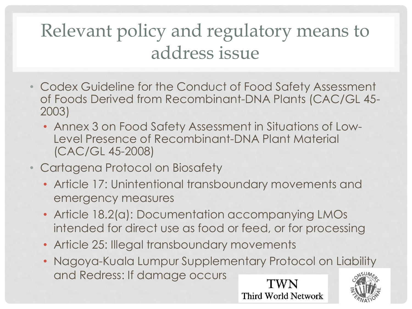### Relevant policy and regulatory means to address issue

- Codex Guideline for the Conduct of Food Safety Assessment of Foods Derived from Recombinant-DNA Plants (CAC/GL 45- 2003)
	- Annex 3 on Food Safety Assessment in Situations of Low-Level Presence of Recombinant-DNA Plant Material (CAC/GL 45-2008)
- Cartagena Protocol on Biosafety
	- Article 17: Unintentional transboundary movements and emergency measures
	- Article 18.2(a): Documentation accompanying LMOs intended for direct use as food or feed, or for processing
	- Article 25: Illegal transboundary movements
	- Nagoya-Kuala Lumpur Supplementary Protocol on Liability and Redress: If damage occurs

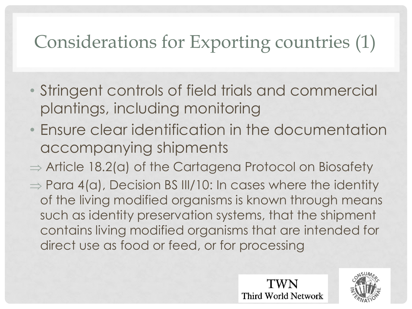### Considerations for Exporting countries (1)

- Stringent controls of field trials and commercial plantings, including monitoring
- Ensure clear identification in the documentation accompanying shipments
- $\Rightarrow$  Article 18.2(a) of the Cartagena Protocol on Biosafety
- $\Rightarrow$  Para 4(a), Decision BS III/10: In cases where the identity of the living modified organisms is known through means such as identity preservation systems, that the shipment contains living modified organisms that are intended for direct use as food or feed, or for processing

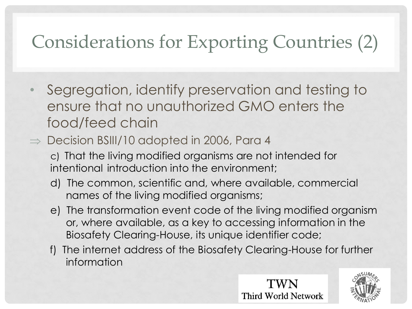# Considerations for Exporting Countries (2)

Segregation, identify preservation and testing to ensure that no unauthorized GMO enters the food/feed chain

#### $\Rightarrow$  Decision BSIII/10 adopted in 2006, Para 4

- c) That the living modified organisms are not intended for intentional introduction into the environment;
- d) The common, scientific and, where available, commercial names of the living modified organisms;
- e) The transformation event code of the living modified organism or, where available, as a key to accessing information in the Biosafety Clearing-House, its unique identifier code;
- f) The internet address of the Biosafety Clearing-House for further information

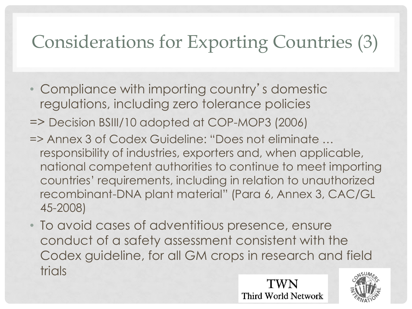### Considerations for Exporting Countries (3)

- Compliance with importing country's domestic regulations, including zero tolerance policies
- => Decision BSIII/10 adopted at COP-MOP3 (2006)
- => Annex 3 of Codex Guideline: "Does not eliminate … responsibility of industries, exporters and, when applicable, national competent authorities to continue to meet importing countries' requirements, including in relation to unauthorized recombinant-DNA plant material" (Para 6, Annex 3, CAC/GL 45-2008)
- To avoid cases of adventitious presence, ensure conduct of a safety assessment consistent with the Codex guideline, for all GM crops in research and field trials

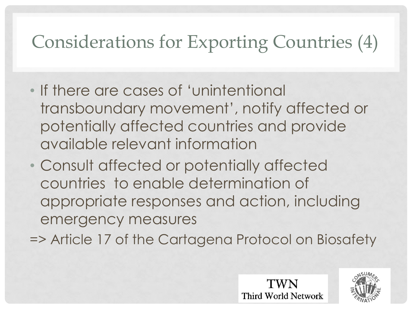### Considerations for Exporting Countries (4)

- If there are cases of 'unintentional transboundary movement', notify affected or potentially affected countries and provide available relevant information
- Consult affected or potentially affected countries to enable determination of appropriate responses and action, including emergency measures

=> Article 17 of the Cartagena Protocol on Biosafety

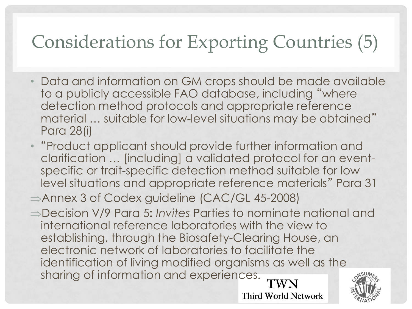## Considerations for Exporting Countries (5)

- Data and information on GM crops should be made available to a publicly accessible FAO database, including "where detection method protocols and appropriate reference material … suitable for low-level situations may be obtained" Para 28(i)
- "Product applicant should provide further information and clarification … [including] a validated protocol for an eventspecific or trait-specific detection method suitable for low level situations and appropriate reference materials" Para 31
- ⇒Annex 3 of Codex guideline (CAC/GL 45-2008)
- Decision V/9 Para 5**:** *Invites* Parties to nominate national and international reference laboratories with the view to establishing, through the Biosafety-Clearing House, an electronic network of laboratories to facilitate the identification of living modified organisms as well as the sharing of information and experiences.TWN

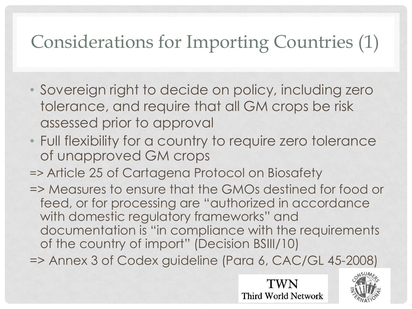### Considerations for Importing Countries (1)

- Sovereign right to decide on policy, including zero tolerance, and require that all GM crops be risk assessed prior to approval
- Full flexibility for a country to require zero tolerance of unapproved GM crops
- => Article 25 of Cartagena Protocol on Biosafety
- => Measures to ensure that the GMOs destined for food or feed, or for processing are "authorized in accordance with domestic regulatory frameworks" and documentation is "in compliance with the requirements of the country of import" (Decision BSIII/10) => Annex 3 of Codex guideline (Para 6, CAC/GL 45-2008)

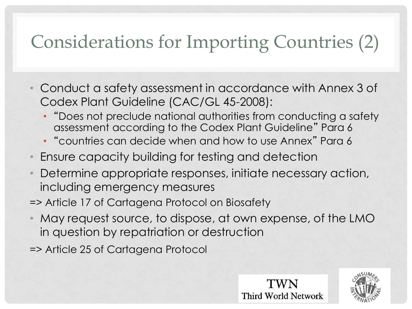# Considerations for Importing Countries (2)

- Conduct a safety assessment in accordance with Annex 3 of Codex Plant Guideline (CAC/GL 45-2008):
	- "Does not preclude national authorities from conducting a safety assessment according to the Codex Plant Guideline" Para 6
	- "countries can decide when and how to use Annex" Para 6
- Ensure capacity building for testing and detection
- Determine appropriate responses, initiate necessary action, including emergency measures
- => Article 17 of Cartagena Protocol on Biosafety
- May request source, to dispose, at own expense, of the LMO in question by repatriation or destruction
- => Article 25 of Cartagena Protocol